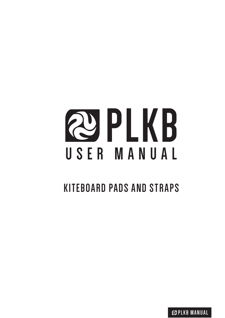# **QPLKB** USER MANUAL

# **KITEBOARD PADS AND STRAPS**

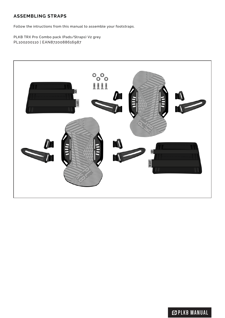# **ASSEMBLING STRAPS**

Follow the intructions from this manual to assemble your footstraps.

PLKB TRX Pro Combo pack (Pads/Straps) V2 grey PL100200110 | EAN8720088616987



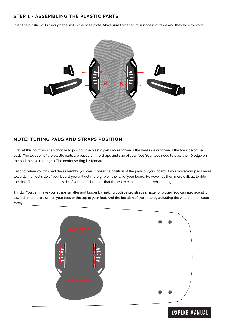#### **STEP 1 - ASSEMBLING THE PLASTIC PARTS**

Push the plastic parts through the slot in the base plate. Make sure that the flat surface is outside and they face forward.



#### **NOTE: TUNING PADS AND STRAPS POSITION**

First, at this point, you can choose to position the plastic parts more towards the heel side or towards the toe side of the pads. The location of the plastic parts are based on the shape and size of your feet. Your toes need to pass the 3D edge on the pad to have more grip. The center setting is standard.

Second, when you finished the assembly, you can choose the position of the pads on your board. If you move your pads more towards the heel side of your board, you will get more grip on the rail of your board. However it's then more difficult to ride toe side. Too much to the heel side of your board, means that the water can hit the pads while riding.

Thirdly, You can make your straps smaller and bigger by making both velcro straps smaller or bigger. You can also adjust it towards more pressure on your toes or the top of your foot. And the location of the strap by adjusting the velcro straps seperately.



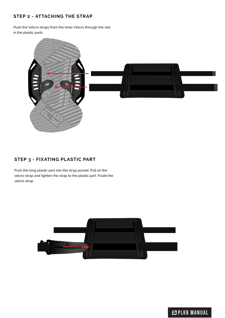## **STEP 2 - ATTACHING THE STRAP**

Push the Velcro straps from the inner Velcro through the slot in the plastic parts



### **STEP 3 - FIXATING PLASTIC PART**

Push the long plastic part into the strap pocket. Pull on the velcro strap and tighten the strap to the plastic part. Fixate the velcro strap.